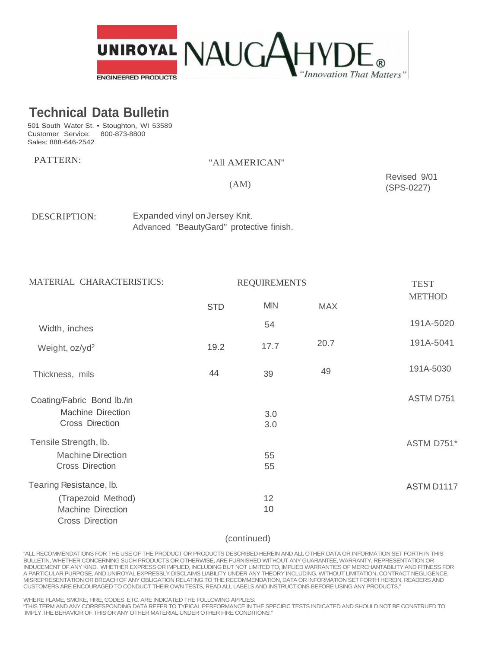

# **Technical Data Bulletin**

501 South Water St. • Stoughton, WI 53589 Customer Service: 800-873-8800 Sales: 888-646-2542

## PATTERN: "All AMERICAN"

(AM)

Revised 9/01 (SPS-0227)

DESCRIPTION: Expanded vinyl on Jersey Knit. Advanced "BeautyGard" protective finish.

3.0 ASTM D751 3.0 55 ASTM D751\* 55 12 ASTM D1117 10 Width, inches Weight, oz/yd<sup>2</sup> <sup>2</sup> 19.2 17.7 Thickness, mils Coating/Fabric Bond lb./in 44 39 MATERIAL CHARACTERISTICS: REQUIREMENTS STD MIN MAX **TEST METHOD** 54 191A-5020 20.7 191A-5041 49 191A-5030 Machine Direction Cross Direction Tensile Strength, lb. Machine Direction Cross Direction Tearing Resistance, lb. (Trapezoid Method) Machine Direction Cross Direction

#### (continued)

"ALL RECOMMENDATIONS FOR THE USE OF THE PRODUCT OR PRODUCTS DESCRIBED HEREIN AND ALL OTHER DATA OR INFORMATION SET FORTH IN THIS BULLETIN, WHETHER CONCERNING SUCH PRODUCTS OR OTHERWISE, ARE FURNISHED WITHOUT ANY GUARANTEE, WARRANTY, REPRESENTATION OR INDUCEMENT OF ANY KIND. WHETHER EXPRESS OR IMPLIED, INCLUDING BUT NOT LIMITED TO, IMPLIED WARRANTIES OF MERCHANTABILITY AND FITNESS FOR A PARTICULAR PURPOSE, AND UNIROYAL EXPRESSLY DISCLAIMS LIABILITY UNDER ANY THEORY INCLUDING, WITHOUT LIMITATION, CONTRACT NEGLIGENCE, MISREPRESENTATION OR BREACH OF ANY OBLIGATION RELATING TO THE RECOMMENDATION, DATA OR INFORMATION SET FORTH HEREIN, READERS AND CUSTOMERS ARE ENCOURAGED TO CONDUCT THEIR OWN TESTS, READ ALL LABELS AND INSTRUCTIONS BEFORE USING ANY PRODUCTS."

WHERE FLAME, SMOKE, FIRE, CODES, ETC. ARE INDICATED THE FOLLOWING APPLIES:

"THIS TERM AND ANY CORRESPONDING DATA REFER TO TYPICAL PERFORMANCE IN THE SPECIFIC TESTS INDICATED AND SHOULD NOT BE CONSTRUED TO IMPLY THE BEHAVIOR OF THIS OR ANY OTHER MATERIAL UNDER OTHER FIRE CONDITIONS."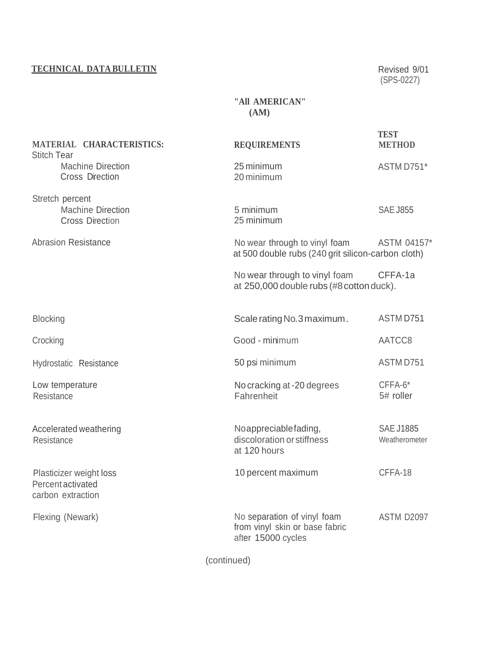## **TECHNICAL DATA BULLETIN** Revised 9/01

(SPS-0227)

#### **"All AMERICAN" (AM)**

| MATERIAL CHARACTERISTICS:<br><b>Stitch Tear</b>                       | <b>REQUIREMENTS</b>                                                                 | <b>TEST</b><br><b>METHOD</b>      |
|-----------------------------------------------------------------------|-------------------------------------------------------------------------------------|-----------------------------------|
| <b>Machine Direction</b><br><b>Cross Direction</b>                    | 25 minimum<br>20 minimum                                                            | ASTM D751*                        |
| Stretch percent<br><b>Machine Direction</b><br><b>Cross Direction</b> | 5 minimum<br>25 minimum                                                             | <b>SAE J855</b>                   |
| <b>Abrasion Resistance</b>                                            | No wear through to vinyl foam<br>at 500 double rubs (240 grit silicon-carbon cloth) | ASTM 04157*                       |
|                                                                       | No wear through to vinyl foam<br>at 250,000 double rubs (#8 cotton duck).           | CFFA-1a                           |
| <b>Blocking</b>                                                       | Scale rating No. 3 maximum.                                                         | ASTM D751                         |
| Crocking                                                              | Good - minimum                                                                      | AATCC8                            |
| Hydrostatic Resistance                                                | 50 psi minimum                                                                      | ASTM D751                         |
| Low temperature<br>Resistance                                         | No cracking at -20 degrees<br>Fahrenheit                                            | CFFA-6*<br>5# roller              |
| Accelerated weathering<br>Resistance                                  | Noappreciablefading,<br>discoloration or stiffness<br>at 120 hours                  | <b>SAE J1885</b><br>Weatherometer |
| Plasticizer weight loss<br>Percent activated<br>carbon extraction     | 10 percent maximum                                                                  | CFFA-18                           |
| Flexing (Newark)                                                      | No separation of vinyl foam<br>from vinyl skin or base fabric<br>after 15000 cycles | ASTM D2097                        |

(continued)